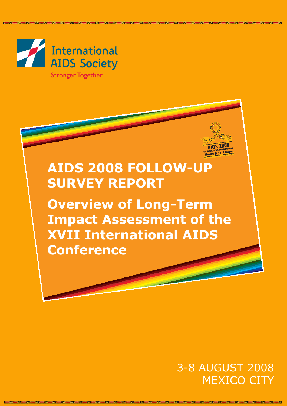

**Stronger Together** 

# **AIDS 2008 FOLLOW-UP SURVEY REPORT**

**Overview of Long-Term Impact Assessment of the XVII International AIDS Conference**

# 3-8 AUGUST 2008 MEXICO CITY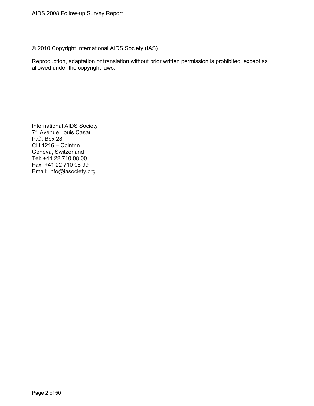© 2010 Copyright International AIDS Society (IAS)

Reproduction, adaptation or translation without prior written permission is prohibited, except as allowed under the copyright laws.

International AIDS Society 71 Avenue Louis Casaï P.O. Box 28 CH 1216 – Cointrin Geneva, Switzerland Tel: +44 22 710 08 00 Fax: +41 22 710 08 99 Email: info@iasociety.org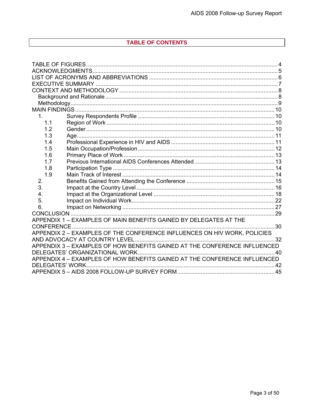# TABLE OF CONTENTS

| 1.                                                                                            |                                                                   |  |  |  |
|-----------------------------------------------------------------------------------------------|-------------------------------------------------------------------|--|--|--|
| 1.1                                                                                           |                                                                   |  |  |  |
| 1.2                                                                                           |                                                                   |  |  |  |
| 1.3                                                                                           |                                                                   |  |  |  |
| 1.4                                                                                           |                                                                   |  |  |  |
| 1.5                                                                                           |                                                                   |  |  |  |
| 1.6                                                                                           |                                                                   |  |  |  |
| 1.7                                                                                           |                                                                   |  |  |  |
| 1.8                                                                                           |                                                                   |  |  |  |
| 1.9                                                                                           |                                                                   |  |  |  |
| 2.                                                                                            |                                                                   |  |  |  |
| 3.                                                                                            |                                                                   |  |  |  |
| 4.                                                                                            |                                                                   |  |  |  |
| 5.                                                                                            |                                                                   |  |  |  |
| 6.                                                                                            |                                                                   |  |  |  |
|                                                                                               |                                                                   |  |  |  |
|                                                                                               | APPENDIX 1 - EXAMPLES OF MAIN BENEFITS GAINED BY DELEGATES AT THE |  |  |  |
|                                                                                               |                                                                   |  |  |  |
| APPENDIX 2 - EXAMPLES OF THE CONFERENCE INFLUENCES ON HIV WORK, POLICIES                      |                                                                   |  |  |  |
|                                                                                               |                                                                   |  |  |  |
| APPENDIX 3 - EXAMPLES OF HOW BENEFITS GAINED AT THE CONFERENCE INFLUENCED                     |                                                                   |  |  |  |
|                                                                                               |                                                                   |  |  |  |
| APPENDIX 4 - EXAMPLES OF HOW BENEFITS GAINED AT THE CONFERENCE INFLUENCED<br>DELEGATES' WORK. |                                                                   |  |  |  |
|                                                                                               |                                                                   |  |  |  |
|                                                                                               |                                                                   |  |  |  |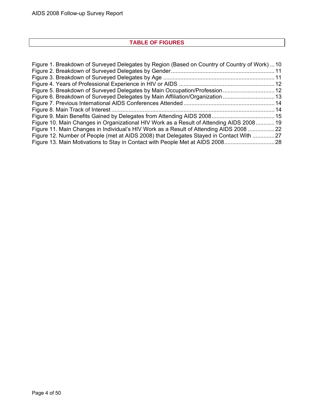# **TABLE OF FIGURES**

<span id="page-3-0"></span>

| Figure 1. Breakdown of Surveyed Delegates by Region (Based on Country of Country of Work)  10 |  |
|-----------------------------------------------------------------------------------------------|--|
|                                                                                               |  |
|                                                                                               |  |
|                                                                                               |  |
| Figure 5. Breakdown of Surveyed Delegates by Main Occupation/Profession 12                    |  |
| Figure 6. Breakdown of Surveyed Delegates by Main Affiliation/Organization13                  |  |
|                                                                                               |  |
|                                                                                               |  |
|                                                                                               |  |
| Figure 10. Main Changes in Organizational HIV Work as a Result of Attending AIDS 2008 19      |  |
| Figure 11. Main Changes in Individual's HIV Work as a Result of Attending AIDS 2008  22       |  |
| Figure 12. Number of People (met at AIDS 2008) that Delegates Stayed in Contact With  27      |  |
|                                                                                               |  |
|                                                                                               |  |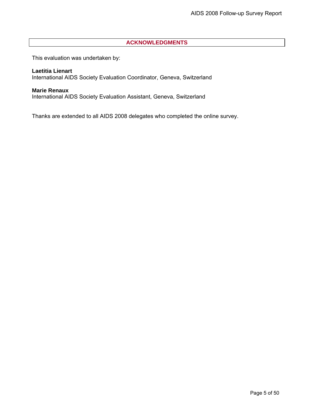# **ACKNOWLEDGMENTS**

<span id="page-4-0"></span>This evaluation was undertaken by:

#### **Laetitia Lienart**

International AIDS Society Evaluation Coordinator, Geneva, Switzerland

# **Marie Renaux**

International AIDS Society Evaluation Assistant, Geneva, Switzerland

Thanks are extended to all AIDS 2008 delegates who completed the online survey.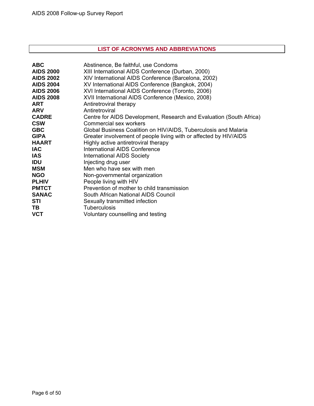# **LIST OF ACRONYMS AND ABBREVIATIONS**

<span id="page-5-0"></span>

| <b>ABC</b>       | Abstinence, Be faithful, use Condoms                                |
|------------------|---------------------------------------------------------------------|
| <b>AIDS 2000</b> | XIII International AIDS Conference (Durban, 2000)                   |
| <b>AIDS 2002</b> | XIV International AIDS Conference (Barcelona, 2002)                 |
| <b>AIDS 2004</b> | XV International AIDS Conference (Bangkok, 2004)                    |
| <b>AIDS 2006</b> | XVI International AIDS Conference (Toronto, 2006)                   |
| <b>AIDS 2008</b> | XVII International AIDS Conference (Mexico, 2008)                   |
| <b>ART</b>       | Antiretroviral therapy                                              |
| <b>ARV</b>       | Antiretroviral                                                      |
| <b>CADRE</b>     | Centre for AIDS Development, Research and Evaluation (South Africa) |
| <b>CSW</b>       | Commercial sex workers                                              |
| <b>GBC</b>       | Global Business Coalition on HIV/AIDS, Tuberculosis and Malaria     |
| <b>GIPA</b>      | Greater involvement of people living with or affected by HIV/AIDS   |
| <b>HAART</b>     | Highly active antiretroviral therapy                                |
| <b>IAC</b>       | <b>International AIDS Conference</b>                                |
| <b>IAS</b>       | <b>International AIDS Society</b>                                   |
| <b>IDU</b>       | Injecting drug user                                                 |
| <b>MSM</b>       | Men who have sex with men                                           |
| <b>NGO</b>       | Non-governmental organization                                       |
| <b>PLHIV</b>     | People living with HIV                                              |
| <b>PMTCT</b>     | Prevention of mother to child transmission                          |
| <b>SANAC</b>     | South African National AIDS Council                                 |
| <b>STI</b>       | Sexually transmitted infection                                      |
| TВ               | <b>Tuberculosis</b>                                                 |
| <b>VCT</b>       | Voluntary counselling and testing                                   |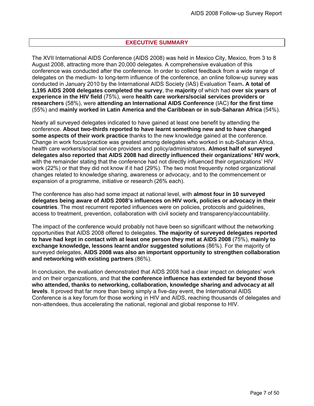# **EXECUTIVE SUMMARY**

<span id="page-6-0"></span>The XVII International AIDS Conference (AIDS 2008) was held in Mexico City, Mexico, from 3 to 8 August 2008, attracting more than 20,000 delegates. A comprehensive evaluation of this conference was conducted after the conference. In order to collect feedback from a wide range of delegates on the medium- to long-term influence of the conference, an online follow-up survey was conducted in January 2010 by the International AIDS Society (IAS) Evaluation Team**. A total of 1,195 AIDS 2008 delegates completed the survey**, the **majority** of which had **over six years of experience in the HIV field** (75%), were **health care workers/social services providers or researchers** (58%), were **attending an International AIDS Conference** (IAC) **for the first time** (55%) and **mainly worked in Latin America and the Caribbean or in sub-Saharan Africa** (54%).

Nearly all surveyed delegates indicated to have gained at least one benefit by attending the conference. **About two-thirds reported to have learnt something new and to have changed some aspects of their work practice** thanks to the new knowledge gained at the conference. Change in work focus/practice was greatest among delegates who worked in sub-Saharan Africa, health care workers/social service providers and policy/administrators. **Almost half of surveyed delegates also reported that AIDS 2008 had directly influenced their organizations' HIV work**, with the remainder stating that the conference had not directly influenced their organizations' HIV work (22%) or that they did not know if it had (29%). The two most frequently noted organizational changes related to knowledge sharing, awareness or advocacy, and to the commencement or expansion of a programme, initiative or research (26% each).

The conference has also had some impact at national level, with **almost four in 10 surveyed delegates being aware of AIDS 2008's influences on HIV work, policies or advocacy in their countries**. The most recurrent reported influences were on policies, protocols and guidelines, access to treatment, prevention, collaboration with civil society and transparency/accountability.

The impact of the conference would probably not have been so significant without the networking opportunities that AIDS 2008 offered to delegates. **The majority of surveyed delegates reported to have had kept in contact with at least one person they met at AIDS 2008** (75%), **mainly to exchange knowledge, lessons learnt and/or suggested solutions** (86%). For the majority of surveyed delegates, **AIDS 2008 was also an important opportunity to strengthen collaboration and networking with existing partners** (86%).

In conclusion, the evaluation demonstrated that AIDS 2008 had a clear impact on delegates' work and on their organizations, and that **the conference influence has extended far beyond those who attended, thanks to networking, collaboration, knowledge sharing and advocacy at all levels**. It proved that far more than being simply a five-day event, the International AIDS Conference is a key forum for those working in HIV and AIDS, reaching thousands of delegates and non-attendees, thus accelerating the national, regional and global response to HIV.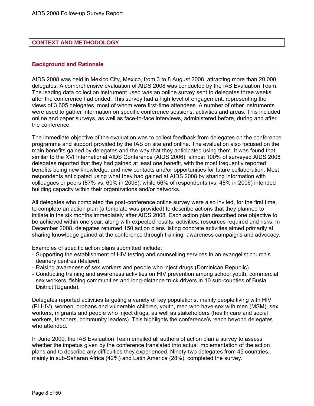#### <span id="page-7-0"></span>**CONTEXT AND METHODOLOGY**

#### **Background and Rationale**

AIDS 2008 was held in Mexico City, Mexico, from 3 to 8 August 2008, attracting more than 20,000 delegates. A comprehensive evaluation of AIDS 2008 was conducted by the IAS Evaluation Team. The leading data collection instrument used was an online survey sent to delegates three weeks after the conference had ended. This survey had a high level of engagement, representing the views of 3,605 delegates, most of whom were first-time attendees. A number of other instruments were used to gather information on specific conference sessions, activities and areas. This included online and paper surveys, as well as face-to-face interviews, administered before, during and after the conference.

The immediate objective of the evaluation was to collect feedback from delegates on the conference programme and support provided by the IAS on site and online. The evaluation also focused on the main benefits gained by delegates and the way that they anticipated using them. It was found that similar to the XVI International AIDS Conference (AIDS 2006), almost 100% of surveyed AIDS 2008 delegates reported that they had gained at least one benefit, with the most frequently reported benefits being new knowledge, and new contacts and/or opportunities for future collaboration. Most respondents anticipated using what they had gained at AIDS 2008 by sharing information with colleagues or peers (87% vs. 60% in 2006), while 56% of respondents (vs. 48% in 2006) intended building capacity within their organizations and/or networks.

All delegates who completed the post-conference online survey were also invited, for the first time, to complete an action plan (a template was provided) to describe actions that they planned to initiate in the six months immediately after AIDS 2008. Each action plan described one objective to be achieved within one year, along with expected results, activities, resources required and risks. In December 2008, delegates returned 150 action plans listing concrete activities aimed primarily at sharing knowledge gained at the conference through training, awareness campaigns and advocacy.

Examples of specific action plans submitted include:

- Supporting the establishment of HIV testing and counselling services in an evangelist church's deanery centres (Malawi).
- Raising awareness of sex workers and people who inject drugs (Dominican Republic).
- Conducting training and awareness activities on HIV prevention among school youth, commercial sex workers, fishing communities and long-distance truck drivers in 10 sub-counties of Busia District (Uganda).

Delegates reported activities targeting a variety of key populations, mainly people living with HIV (PLHIV), women, orphans and vulnerable children, youth, men who have sex with men (MSM), sex workers, migrants and people who inject drugs, as well as stakeholders (health care and social workers, teachers, community leaders). This highlights the conference's reach beyond delegates who attended.

In June 2009, the IAS Evaluation Team emailed all authors of action plan a survey to assess whether the impetus given by the conference translated into actual implementation of the action plans and to describe any difficulties they experienced. Ninety-two delegates from 45 countries, mainly in sub-Saharan Africa (42%) and Latin America (28%), completed the survey.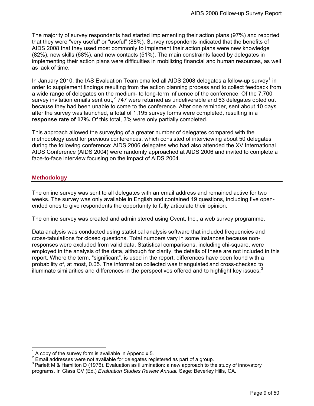<span id="page-8-0"></span>The majority of survey respondents had started implementing their action plans (97%) and reported that they were "very useful" or "useful" (88%). Survey respondents indicated that the benefits of AIDS 2008 that they used most commonly to implement their action plans were new knowledge (82%), new skills (68%), and new contacts (51%). The main constraints faced by delegates in implementing their action plans were difficulties in mobilizing financial and human resources, as well as lack of time.

In January 20[1](#page-8-1)0, the IAS Evaluation Team emailed all AIDS 2008 delegates a follow-up survey<sup>1</sup> in order to supplement findings resulting from the action planning process and to collect feedback from a wide range of delegates on the medium- to long-term influence of the conference. Of the 7,700 survey invitation emails sent out,<sup>[2](#page-8-2)</sup> 747 were returned as undeliverable and 63 delegates opted out because they had been unable to come to the conference. After one reminder, sent about 10 days after the survey was launched, a total of 1,195 survey forms were completed, resulting in a **response rate of 17%.** Of this total, 3% were only partially completed.

This approach allowed the surveying of a greater number of delegates compared with the methodology used for previous conferences, which consisted of interviewing about 50 delegates during the following conference: AIDS 2006 delegates who had also attended the XV International AIDS Conference (AIDS 2004) were randomly approached at AIDS 2006 and invited to complete a face-to-face interview focusing on the impact of AIDS 2004.

#### **Methodology**

 $\overline{a}$ 

The online survey was sent to all delegates with an email address and remained active for two weeks. The survey was only available in English and contained 19 questions, including five openended ones to give respondents the opportunity to fully articulate their opinion.

The online survey was created and administered using [Cvent, Inc.,](http://www.cvent.com/) a web survey programme.

Data analysis was conducted using statistical analysis software that included frequencies and cross-tabulations for closed questions. Total numbers vary in some instances because nonresponses were excluded from valid data. Statistical comparisons, including chi-square, were employed in the analysis of the data, although for clarity, the details of these are not included in this report. Where the term, "significant", is used in the report, differences have been found with a probability of, at most, 0.05. The information collected was triangulated and cross-checked to illuminate similarities and differences in the perspectives offered and to highlight key issues. $3$ 

<sup>1</sup> A copy of the survey form is available in Appendix 5.

<span id="page-8-2"></span><span id="page-8-1"></span><sup>&</sup>lt;sup>2</sup> Email addresses were not available for delegates registered as part of a group.

<span id="page-8-3"></span><sup>&</sup>lt;sup>3</sup> Parlett M & Hamilton D (1976). Evaluation as illumination: a new approach to the study of innovatory programs. In Glass GV (Ed.) *Evaluation Studies Review Annual.* Sage: Beverley Hills, CA.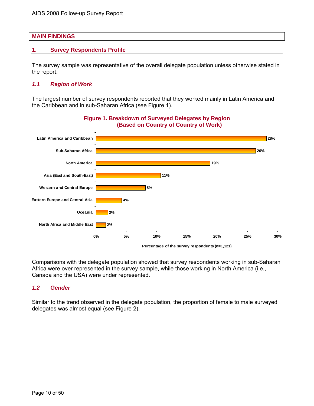#### <span id="page-9-0"></span>**MAIN FINDINGS**

#### **1. Survey Respondents Profile**

The survey sample was representative of the overall delegate population unless otherwise stated in the report.

#### *1.1 Region of Work*

The largest number of survey respondents reported that they worked mainly in Latin America and the Caribbean and in sub-Saharan Africa (see Figure 1).



Comparisons with the delegate population showed that survey respondents working in sub-Saharan Africa were over represented in the survey sample, while those working in North America (i.e., Canada and the USA) were under represented.

#### *1.2 Gender*

Similar to the trend observed in the delegate population, the proportion of female to male surveyed delegates was almost equal (see Figure 2).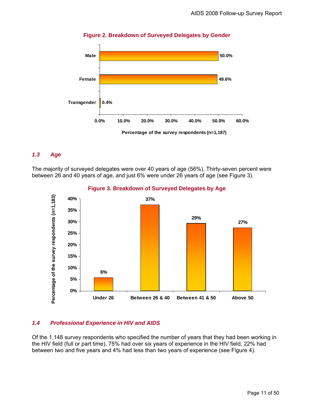<span id="page-10-0"></span>

**Figure 2. Breakdown of Surveyed Delegates by Gender** 

# *1.3 Age*

The majority of surveyed delegates were over 40 years of age (56%). Thirty-seven percent were between 26 and 40 years of age, and just 6% were under 26 years of age (see Figure 3).



**Figure 3. Breakdown of Surveyed Delegates by Age** 

# *1.4 Professional Experience in HIV and AIDS*

Of the 1,148 survey respondents who specified the number of years that they had been working in the HIV field (full or part time), 75% had over six years of experience in the HIV field, 22% had between two and five years and 4% had less than two years of experience (see Figure 4).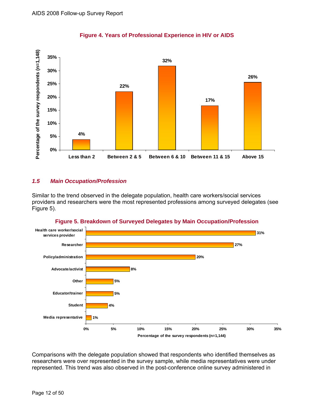<span id="page-11-0"></span>

**Figure 4. Years of Professional Experience in HIV or AIDS** 

# *1.5 Main Occupation/Profession*

Similar to the trend observed in the delegate population, health care workers/social services providers and researchers were the most represented professions among surveyed delegates (see Figure 5).



**Figure 5. Breakdown of Surveyed Delegates by Main Occupation/Profession** 

Comparisons with the delegate population showed that respondents who identified themselves as researchers were over represented in the survey sample, while media representatives were under represented. This trend was also observed in the post-conference online survey administered in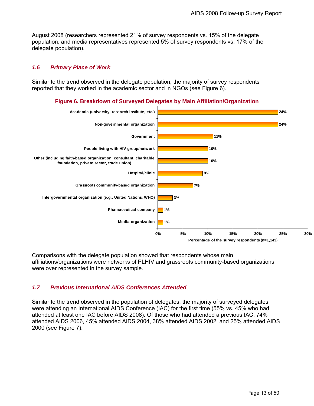<span id="page-12-0"></span>August 2008 (researchers represented 21% of survey respondents vs. 15% of the delegate population, and media representatives represented 5% of survey respondents vs. 17% of the delegate population).

#### *1.6 Primary Place of Work*

Similar to the trend observed in the delegate population, the majority of survey respondents reported that they worked in the academic sector and in NGOs (see Figure 6).

#### **Figure 6. Breakdown of Surveyed Delegates by Main Affiliation/Organization**



Comparisons with the delegate population showed that respondents whose main affiliations/organizations were networks of PLHIV and grassroots community-based organizations were over represented in the survey sample.

# *1.7 Previous International AIDS Conferences Attended*

Similar to the trend observed in the population of delegates, the majority of surveyed delegates were attending an International AIDS Conference (IAC) for the first time (55% vs. 45% who had attended at least one IAC before AIDS 2008). Of those who had attended a previous IAC, 74% attended AIDS 2006, 45% attended AIDS 2004, 38% attended AIDS 2002, and 25% attended AIDS 2000 (see Figure 7).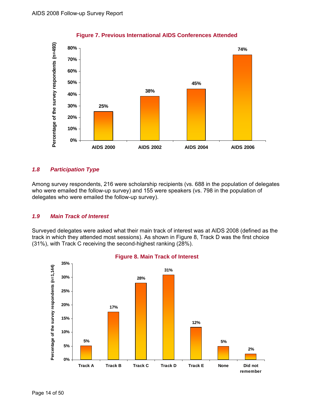<span id="page-13-0"></span>

# **Figure 7. Previous International AIDS Conferences Attended**

# *1.8 Participation Type*

Among survey respondents, 216 were scholarship recipients (vs. 688 in the population of delegates who were emailed the follow-up survey) and 155 were speakers (vs. 798 in the population of delegates who were emailed the follow-up survey).

# *1.9 Main Track of Interest*

Surveyed delegates were asked what their main track of interest was at AIDS 2008 (defined as the track in which they attended most sessions). As shown in Figure 8, Track D was the first choice (31%), with Track C receiving the second-highest ranking (28%).



# **Figure 8. Main Track of Interest**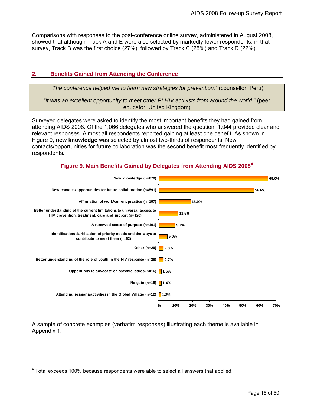<span id="page-14-0"></span>Comparisons with responses to the post-conference online survey, administered in August 2008, showed that although Track A and E were also selected by markedly fewer respondents, in that survey, Track B was the first choice (27%), followed by Track C (25%) and Track D (22%).

# **2. Benefits Gained from Attending the Conference**

*"The conference helped me to learn new strategies for prevention."* (counsellor, Peru)

*"It was an excellent opportunity to meet other PLHIV activists from around the world."* (peer educator, United Kingdom)

Surveyed delegates were asked to identify the most important benefits they had gained from attending AIDS 2008. Of the 1,066 delegates who answered the question, 1,044 provided clear and relevant responses. Almost all respondents reported gaining at least one benefit. As shown in Figure 9, **new knowledge** was selected by almost two-thirds of respondents. New contacts/opportunities for future collaboration was the second benefit most frequently identified by respondents**.** 

**Figure 9. Main Benefits Gained by Delegates from Attending AIDS 2008[4](#page-14-1)**



A sample of concrete examples (verbatim responses) illustrating each theme is available in Appendix 1.

<span id="page-14-1"></span> 4 Total exceeds 100% because respondents were able to select all answers that applied.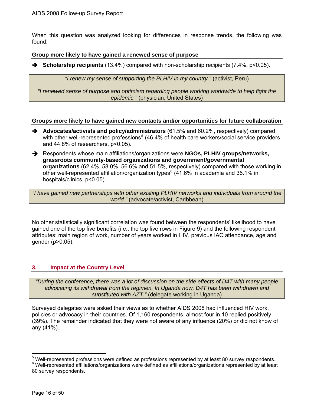<span id="page-15-0"></span>When this question was analyzed looking for differences in response trends, the following was found:

#### **Group more likely to have gained a renewed sense of purpose**

**→** Scholarship recipients (13.4%) compared with non-scholarship recipients (7.4%, p<0.05).

*"I renew my sense of supporting the PLHIV in my country."* (activist, Peru)

*"I renewed sense of purpose and optimism regarding people working worldwide to help fight the epidemic."* (physician, United States)

#### **Groups more likely to have gained new contacts and/or opportunities for future collaboration**

- $\rightarrow$  Advocates/activists and policy/administrators (61.5% and 60.2%, respectively) compared with other well-represented professions<sup>[5](#page-15-1)</sup> (46.4% of health care workers/social service providers and 44.8% of researchers, p<0.05).
- → Respondents whose main affiliations/organizations were **NGOs, PLHIV groups/networks, grassroots community-based organizations and government/governmental organizations** (62.4%, 58.0%, 56.6% and 51.5%, respectively) compared with those working in other well-represented affiliation/organization types $^6$  $^6$  (41.6% in academia and 36.1% in hospitals/clinics,  $p<0.05$ ).

*"I have gained new partnerships with other existing PLHIV networks and individuals from around the world."* (advocate/activist, Caribbean)

No other statistically significant correlation was found between the respondents' likelihood to have gained one of the top five benefits (i.e., the top five rows in Figure 9) and the following respondent attributes: main region of work, number of years worked in HIV, previous IAC attendance, age and gender (p>0.05).

#### **3. Impact at the Country Level**

*"During the conference, there was a lot of discussion on the side effects of D4T with many people advocating its withdrawal from the regimen. In Uganda now, D4T has been withdrawn and substituted with AZT."* (delegate working in Uganda)

Surveyed delegates were asked their views as to whether AIDS 2008 had influenced HIV work, policies or advocacy in their countries. Of 1,160 respondents, almost four in 10 replied positively (39%). The remainder indicated that they were not aware of any influence (20%) or did not know of any (41%).

 $\overline{a}$ 

<span id="page-15-1"></span><sup>&</sup>lt;sup>5</sup> Well-represented professions were defined as professions represented by at least 80 survey respondents.<br><sup>6</sup> Well-represented offiliations/ergenizations were defined as effiliations/ergenizations represented by at leas  $6$  Well-represented affiliations/organizations were defined as affiliations/organizations represented by at least

<span id="page-15-2"></span><sup>80</sup> survey respondents.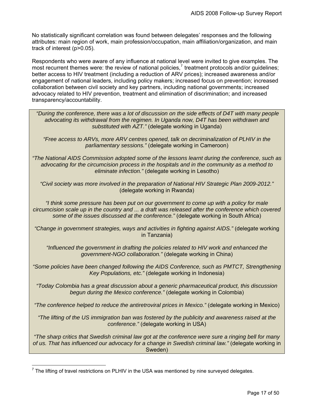No statistically significant correlation was found between delegates' responses and the following attributes: main region of work, main profession/occupation, main affiliation/organization, and main track of interest (p>0.05).

Respondents who were aware of any influence at national level were invited to give examples. The most recurrent themes were: the review of national policies,<sup>[7](#page-16-0)</sup> treatment protocols and/or guidelines; better access to HIV treatment (including a reduction of ARV prices); increased awareness and/or engagement of national leaders, including policy makers; increased focus on prevention; increased collaboration between civil society and key partners, including national governments; increased advocacy related to HIV prevention, treatment and elimination of discrimination; and increased transparency/accountability.

 *"During the conference, there was a lot of discussion on the side effects of D4T with many people advocating its withdrawal from the regimen. In Uganda now, D4T has been withdrawn and substituted with AZT."* (delegate working in Uganda)

*"Free access to ARVs, more ARV centres opened, talk on decriminalization of PLHIV in the parliamentary sessions."* (delegate working in Cameroon)

*"The National AIDS Commission adopted some of the lessons learnt during the conference, such as advocating for the circumcision process in the hospitals and in the community as a method to eliminate infection."* (delegate working in Lesotho)

*"Civil society was more involved in the preparation of National HIV Strategic Plan 2009-2012."* (delegate working in Rwanda)

*"I think some pressure has been put on our government to come up with a policy for male circumcision scale up in the country and ... a draft was released after the conference which covered some of the issues discussed at the conference."* (delegate working in South Africa)

*"Change in government strategies, ways and activities in fighting against AIDS."* (delegate working in Tanzania)

*"Influenced the government in drafting the policies related to HIV work and enhanced the government-NGO collaboration."* (delegate working in China)

*"Some policies have been changed following the AIDS Conference, such as PMTCT, Strengthening Key Populations, etc."* (delegate working in Indonesia)

*"Today Colombia has a great discussion about a generic pharmaceutical product, this discussion begun during the Mexico conference."* (delegate working in Colombia)

*"The conference helped to reduce the antiretroviral prices in Mexico."* (delegate working in Mexico)

*"The lifting of the US immigration ban was fostered by the publicity and awareness raised at the conference."* (delegate working in USA)

*"The sharp critics that Swedish criminal law got at the conference were sure a ringing bell for many*  of us. That has influenced our advocacy for a change in Swedish criminal law." (delegate working in Sweden)

<span id="page-16-0"></span>The lifting of travel restrictions on PLHIV in the USA was mentioned by nine surveyed delegates.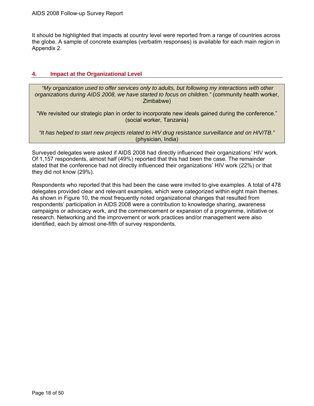<span id="page-17-0"></span>It should be highlighted that impacts at country level were reported from a range of countries across the globe. A sample of concrete examples (verbatim responses) is available for each main region in Appendix 2.

#### **4. Impact at the Organizational Level**

 *"My organization used to offer services only to adults, but following my interactions with other organizations during AIDS 2008, we have started to focus on children."* (community health worker, Zimbabwe)

"We revisited our strategic plan in order to incorporate new ideals gained during the conference." (social worker, Tanzania)

*"It has helped to start new projects related to HIV drug resistance surveillance and on HIV/TB."*  (physician, India)

Surveyed delegates were asked if AIDS 2008 had directly influenced their organizations' HIV work. Of 1,157 respondents, almost half (49%) reported that this had been the case. The remainder stated that the conference had not directly influenced their organizations' HIV work (22%) or that they did not know (29%).

Respondents who reported that this had been the case were invited to give examples. A total of 478 delegates provided clear and relevant examples, which were categorized within eight main themes. As shown in Figure 10, the most frequently noted organizational changes that resulted from respondents' participation in AIDS 2008 were a contribution to knowledge sharing, awareness campaigns or advocacy work, and the commencement or expansion of a programme, initiative or research. Networking and the improvement or work practices and/or management were also identified, each by almost one-fifth of survey respondents.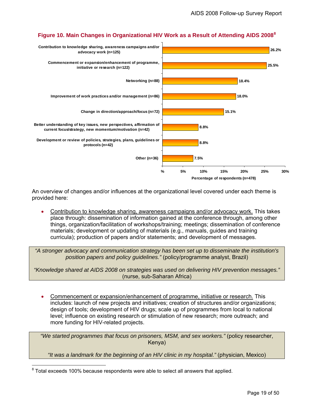<span id="page-18-0"></span>

# **Figure 10. Main Changes in Organizational HIV Work as a Result of Attending AIDS 2008[8](#page-18-1)**

An overview of changes and/or influences at the organizational level covered under each theme is provided here:

• Contribution to knowledge sharing, awareness campaigns and/or advocacy work. This takes place through: dissemination of information gained at the conference through, among other things, organization/facilitation of workshops/training; meetings; dissemination of conference materials; development or updating of materials (e.g., manuals, guides and training curricula); production of papers and/or statements; and development of messages.

*"A stronger advocacy and communication strategy has been set up to disseminate the institution's position papers and policy guidelines."* (policy/programme analyst, Brazil)

*"Knowledge shared at AIDS 2008 on strategies was used on delivering HIV prevention messages."* (nurse, sub-Saharan Africa)

• Commencement or expansion/enhancement of programme, initiative or research. This includes: launch of new projects and initiatives; creation of structures and/or organizations; design of tools; development of HIV drugs; scale up of programmes from local to national level; influence on existing research or stimulation of new research; more outreach; and more funding for HIV-related projects.

*"We started programmes that focus on prisoners, MSM, and sex workers."* (policy researcher, Kenya)

*"It was a landmark for the beginning of an HIV clinic in my hospital."* (physician, Mexico)

<span id="page-18-1"></span>entity and the mannimorrous constants the measure of the measurem and the measurem of that seplied. That applied a state of that applied.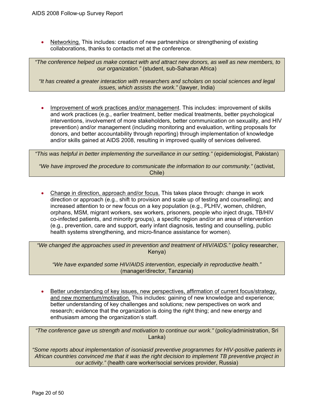Networking. This includes: creation of new partnerships or strengthening of existing collaborations, thanks to contacts met at the conference.

 *"The conference helped us make contact with and attract new donors, as well as new members, to our organization."* (student, sub-Saharan Africa)

*"It has created a greater interaction with researchers and scholars on social sciences and legal issues, which assists the work."* (lawyer, India)

• Improvement of work practices and/or management. This includes: improvement of skills and work practices (e.g., earlier treatment, better medical treatments, better psychological interventions, involvement of more stakeholders, better communication on sexuality, and HIV prevention) and/or management (including monitoring and evaluation, writing proposals for donors, and better accountability through reporting) through implementation of knowledge and/or skills gained at AIDS 2008, resulting in improved quality of services delivered.

*"This was helpful in better implementing the surveillance in our setting."* (epidemiologist, Pakistan)

*"We have improved the procedure to communicate the information to our community."* (activist, Chile)

• Change in direction, approach and/or focus. This takes place through: change in work direction or approach (e.g., shift to provision and scale up of testing and counselling); and increased attention to or new focus on a key population (e.g., PLHIV, women, children, orphans, MSM, migrant workers, sex workers, prisoners, people who inject drugs, TB/HIV co-infected patients, and minority groups), a specific region and/or an area of intervention (e.g., prevention, care and support, early infant diagnosis, testing and counselling, public health systems strengthening, and micro-finance assistance for women).

 *"We changed the approaches used in prevention and treatment of HIV/AIDS."* (policy researcher, Kenya)

*"We have expanded some HIV/AIDS intervention, especially in reproductive health."* (manager/director, Tanzania)

• Better understanding of key issues, new perspectives, affirmation of current focus/strategy, and new momentum/motivation. This includes: gaining of new knowledge and experience; better understanding of key challenges and solutions; new perspectives on work and research; evidence that the organization is doing the right thing; and new energy and enthusiasm among the organization's staff.

*"The conference gave us strength and motivation to continue our work."* (policy/administration, Sri Lanka)

*"Some reports about implementation of isoniasid preventive programmes for HIV-positive patients in African countries convinced me that it was the right decision to implement TB preventive project in our activity."* (health care worker/social services provider, Russia)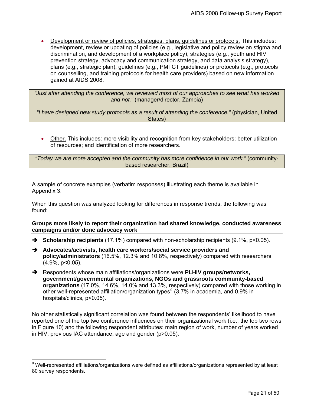• Development or review of policies, strategies, plans, guidelines or protocols. This includes: development, review or updating of policies (e.g., legislative and policy review on stigma and discrimination, and development of a workplace policy), strategies (e.g., youth and HIV prevention strategy, advocacy and communication strategy, and data analysis strategy), plans (e.g., strategic plan), guidelines (e.g., PMTCT guidelines) or protocols (e.g., protocols on counselling, and training protocols for health care providers) based on new information gained at AIDS 2008.

*"Just after attending the conference, we reviewed most of our approaches to see what has worked and not."* (manager/director, Zambia)

*"I have designed new study protocols as a result of attending the conference."* (physician, United States)

• Other. This includes: more visibility and recognition from key stakeholders; better utilization of resources; and identification of more researchers.

*"Today we are more accepted and the community has more confidence in our work."* (communitybased researcher, Brazil)

A sample of concrete examples (verbatim responses) illustrating each theme is available in Appendix 3.

When this question was analyzed looking for differences in response trends, the following was found:

#### **Groups more likely to report their organization had shared knowledge, conducted awareness campaigns and/or done advocacy work**

- **→** Scholarship recipients (17.1%) compared with non-scholarship recipients (9.1%, p<0.05).
- → Advocates/activists, health care workers/social service providers and **policy/administrators** (16.5%, 12.3% and 10.8%, respectively) compared with researchers  $(4.9\%, p<0.05)$ .
- → Respondents whose main affiliations/organizations were **PLHIV groups/networks**, **government/governmental organizations, NGOs and grassroots community-based organizations** (17.0%, 14.6%, 14.0% and 13.3%, respectively) compared with those working in other well-represented affiliation/organization types $^9$  $^9$  (3.7% in academia, and 0.9% in hospitals/clinics, p<0.05).

No other statistically significant correlation was found between the respondents' likelihood to have reported one of the top two conference influences on their organizational work (i.e., the top two rows in Figure 10) and the following respondent attributes: main region of work, number of years worked in HIV, previous IAC attendance, age and gender (p>0.05).

 $\overline{a}$ 

<span id="page-20-0"></span><sup>&</sup>lt;sup>9</sup> Well-represented affiliations/organizations were defined as affiliations/organizations represented by at least 80 survey respondents.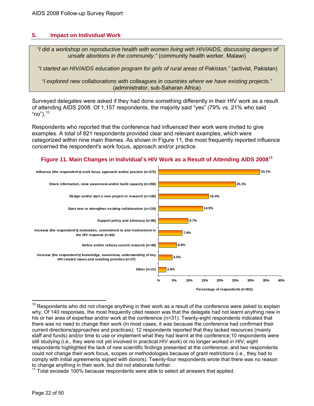# <span id="page-21-0"></span>**5. Impact on Individual Work**

 *"I did a workshop on reproductive health with women living with HIV/AIDS, discussing dangers of unsafe abortions in the community."* (community health worker, Malawi)

 *"I started an HIV/AIDS education program for girls of rural areas of Pakistan."* (activist, Pakistan)

*"I explored new collaborations with colleagues in countries where we have existing projects."*  (administrator, sub-Saharan Africa)

Surveyed delegates were asked if they had done something differently in their HIV work as a result of attending AIDS 2008. Of 1,157 respondents, the majority said "yes" (79% vs. 21% who said "no"). $10$ 

Respondents who reported that the conference had influenced their work were invited to give examples. A total of 821 respondents provided clear and relevant examples, which were categorized within nine main themes. As shown in Figure 11, the most frequently reported influence concerned the respondent's work focus, approach and/or practice.





<span id="page-21-1"></span> $\overline{a}$  $10$  Respondents who did not change anything in their work as a result of the conference were asked to explain why. Of 140 responses, the most frequently cited reason was that the delegate had not learnt anything new in his or her area of expertise and/or work at the conference (n=31). Twenty-eight respondents indicated that there was no need to change their work (in most cases, it was because the conference had confirmed their current directions/approaches and practices); 12 respondents reported that they lacked resources (mainly staff and funds) and/or time to use or implement what they had learnt at the conference;10 respondents were still studying (i.e., they were not yet involved in practical HIV work) or no longer worked in HIV; eight respondents highlighted the lack of new scientific findings presented at the conference; and two respondents could not change their work focus, scopes or methodologies because of grant restrictions (i.e., they had to comply with initial agreements signed with donors). Twenty-four respondents wrote that there was no reason to change anything in their work, but did not elaborate further.

<span id="page-21-2"></span>Total exceeds 100% because respondents were able to select all answers that applied.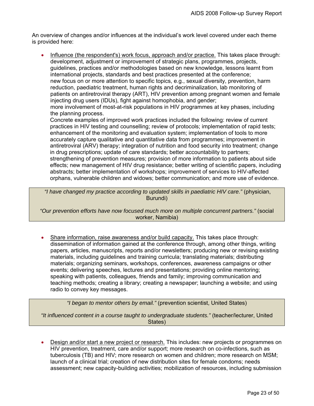An overview of changes and/or influences at the individual's work level covered under each theme is provided here:

• Influence (the respondent's) work focus, approach and/or practice. This takes place through: development, adjustment or improvement of strategic plans, programmes, projects, guidelines, practices and/or methodologies based on new knowledge, lessons learnt from international projects, standards and best practices presented at the conference; new focus on or more attention to specific topics, e.g., sexual diversity, prevention, harm reduction, paediatric treatment, human rights and decriminalization, lab monitoring of patients on antiretroviral therapy (ART), HIV prevention among pregnant women and female injecting drug users (IDUs), fight against homophobia, and gender; more involvement of most-at-risk populations in HIV programmes at key phases, including the planning process.

Concrete examples of improved work practices included the following: review of current practices in HIV testing and counselling; review of protocols; implementation of rapid tests; enhancement of the monitoring and evaluation system; implementation of tools to more accurately capture qualitative and quantitative data from programmes; improvement in antiretroviral (ARV) therapy; integration of nutrition and food security into treatment; change in drug prescriptions; update of care standards; better accountability to partners; strengthening of prevention measures; provision of more information to patients about side effects; new management of HIV drug resistance; better writing of scientific papers, including abstracts; better implementation of workshops; improvement of services to HIV-affected orphans, vulnerable children and widows; better communication; and more use of evidence.

 *"I have changed my practice according to updated skills in paediatric HIV care."* (physician, Burundi)

*"Our prevention efforts have now focused much more on multiple concurrent partners."* (social worker, Namibia)

• Share information, raise awareness and/or build capacity. This takes place through: dissemination of information gained at the conference through, among other things, writing papers, articles, manuscripts, reports and/or newsletters; producing new or revising existing materials, including guidelines and training curricula; translating materials; distributing materials; organizing seminars, workshops, conferences, awareness campaigns or other events; delivering speeches, lectures and presentations; providing online mentoring; speaking with patients, colleagues, friends and family; improving communication and teaching methods; creating a library; creating a newspaper; launching a website; and using radio to convey key messages.

*"I began to mentor others by email."* (prevention scientist, United States)

*"It influenced content in a course taught to undergraduate students."* (teacher/lecturer, United States)

• Design and/or start a new project or research. This includes: new projects or programmes on HIV prevention, treatment, care and/or support; more research on co-infections, such as tuberculosis (TB) and HIV; more research on women and children; more research on MSM; launch of a clinical trial; creation of new distribution sites for female condoms; needs assessment; new capacity-building activities; mobilization of resources, including submission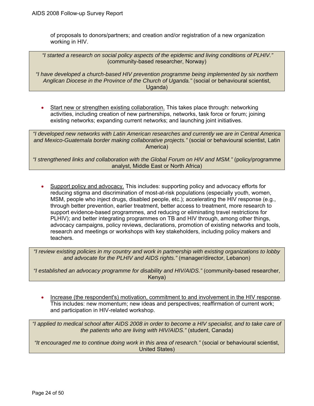of proposals to donors/partners; and creation and/or registration of a new organization working in HIV.

 *"I started a research on social policy aspects of the epidemic and living conditions of PLHIV."* (community-based researcher, Norway)

*"I have developed a church-based HIV prevention programme being implemented by six northern Anglican Diocese in the Province of the Church of Uganda."* (social or behavioural scientist, Uganda)

• Start new or strengthen existing collaboration. This takes place through: networking activities, including creation of new partnerships, networks, task force or forum; joining existing networks; expanding current networks; and launching joint initiatives.

*"I developed new networks with Latin American researches and currently we are in Central America and Mexico-Guatemala border making collaborative projects."* (social or behavioural scientist, Latin America)

*"I strengthened links and collaboration with the Global Forum on HIV and MSM."* (policy/programme analyst, Middle East or North Africa)

Support policy and advocacy. This includes: supporting policy and advocacy efforts for reducing stigma and discrimination of most-at-risk populations (especially youth, women, MSM, people who inject drugs, disabled people, etc.); accelerating the HIV response (e.g., through better prevention, earlier treatment, better access to treatment, more research to support evidence-based programmes, and reducing or eliminating travel restrictions for PLHIV); and better integrating programmes on TB and HIV through, among other things, advocacy campaigns, policy reviews, declarations, promotion of existing networks and tools, research and meetings or workshops with key stakeholders, including policy makers and teachers.

*"I review existing policies in my country and work in partnership with existing organizations to lobby and advocate for the PLHIV and AIDS rights."* (manager/director, Lebanon)

*"I established an advocacy programme for disability and HIV/AIDS."* (community-based researcher, Kenya)

• Increase (the respondent's) motivation, commitment to and involvement in the HIV response. This includes: new momentum; new ideas and perspectives; reaffirmation of current work; and participation in HIV-related workshop.

*"I applied to medical school after AIDS 2008 in order to become a HIV specialist, and to take care of the patients who are living with HIV/AIDS."* (student, Canada)

*"It encouraged me to continue doing work in this area of research."* (social or behavioural scientist, United States)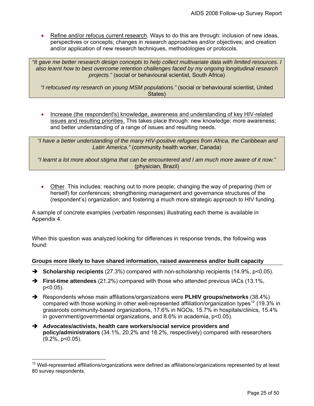Refine and/or refocus current research. Ways to do this are through: inclusion of new ideas, perspectives or concepts; changes in research approaches and/or objectives; and creation and/or application of new research techniques, methodologies or protocols.

*"It gave me better research design concepts to help collect multivariate data with limited resources. I also learnt how to best overcome retention challenges faced by my ongoing longitudinal research projects."* (social or behavioural scientist, South Africa)

*"I refocused my research on young MSM populations."* (social or behavioural scientist, United States)

• Increase (the respondent's) knowledge, awareness and understanding of key HIV-related issues and resulting priorities. This takes place through: new knowledge; more awareness; and better understanding of a range of issues and resulting needs.

 *"I have a better understanding of the many HIV-positive refugees from Africa, the Caribbean and Latin America."* (community health worker, Canada)

*"I learnt a lot more about stigma that can be encountered and I am much more aware of it now."* (physician, Brazil)

• Other. This includes: reaching out to more people; changing the way of preparing (him or herself) for conferences; strengthening management and governance structures of the (respondent's) organization; and fostering a much more strategic approach to HIV funding.

A sample of concrete examples (verbatim responses) illustrating each theme is available in Appendix 4.

When this question was analyzed looking for differences in response trends, the following was found:

# **Groups more likely to have shared information, raised awareness and/or built capacity**

- **→** Scholarship recipients (27.3%) compared with non-scholarship recipients (14.9%, p<0.05).
- **→** First-time attendees (21.2%) compared with those who attended previous IACs (13.1%, p<0.05).
- **→** Respondents whose main affiliations/organizations were **PLHIV groups/networks** (38.4%) compared with those working in other well-represented affiliation/organization types<sup>[12](#page-24-0)</sup> (19.3% in grassroots community-based organizations, 17.6% in NGOs, 15.7% in hospitals/clinics, 15.4% in government/governmental organizations, and 8.6% in academia, p<0.05).
- **→** Advocates/activists, health care workers/social service providers and **policy/administrators** (34.1%, 20.2% and 18.2%, respectively) compared with researchers (9.2%, p<0.05).

 $\overline{a}$ 

<span id="page-24-0"></span> $12$  Well-represented affiliations/organizations were defined as affiliations/organizations represented by at least 80 survey respondents.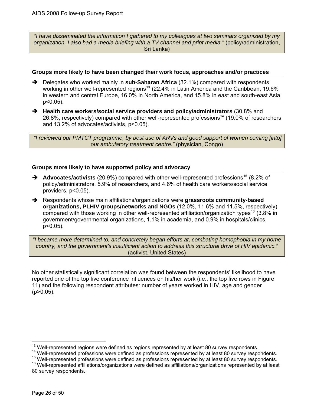*"I have disseminated the information I gathered to my colleagues at two seminars organized by my organization. I also had a media briefing with a TV channel and print media."* (policy/administration, Sri Lanka)

#### **Groups more likely to have been changed their work focus, approaches and/or practices**

- **→** Delegates who worked mainly in **sub-Saharan Africa** (32.1%) compared with respondents working in other well-represented regions<sup>[13](#page-25-0)</sup> (22.4% in Latin America and the Caribbean, 19.6% in western and central Europe, 16.0% in North America, and 15.8% in east and south-east Asia, p<0.05).
- → Health care workers/social service providers and policy/administrators (30.8% and 26.8%, respectively) compared with other well-represented professions<sup>[14](#page-25-1)</sup> (19.0% of researchers and 13.2% of advocates/activists, p<0.05).

 *"I reviewed our PMTCT programme, by best use of ARVs and good support of women coming [into] our ambulatory treatment centre."* (physician, Congo)

# **Groups more likely to have supported policy and advocacy**

- → Advocates/activists (20.9%) compared with other well-represented professions<sup>[15](#page-25-2)</sup> (8.2% of policy/administrators, 5.9% of researchers, and 4.6% of health care workers/social service providers, p<0.05).
- $\rightarrow$  Respondents whose main affiliations/organizations were grassroots community-based **organizations, PLHIV groups/networks and NGOs** (12.0%, 11.6% and 11.5%, respectively) compared with those working in other well-represented affiliation/organization types<sup>[16](#page-25-3)</sup> (3.8% in government/governmental organizations, 1.1% in academia, and 0.9% in hospitals/clinics, p<0.05).

*"I became more determined to, and concretely began efforts at, combating homophobia in my home country, and the government's insufficient action to address this structural drive of HIV epidemic."* (activist, United States)

No other statistically significant correlation was found between the respondents' likelihood to have reported one of the top five conference influences on his/her work (i.e., the top five rows in Figure 11) and the following respondent attributes: number of years worked in HIV, age and gender (p>0.05).

<sup>&</sup>lt;sup>13</sup> Well-represented regions were defined as regions represented by at least 80 survey respondents.

<span id="page-25-2"></span>

<span id="page-25-1"></span><span id="page-25-0"></span><sup>&</sup>lt;sup>14</sup> Well-represented professions were defined as professions represented by at least 80 survey respondents.<br><sup>15</sup> Well-represented professions were defined as professions represented by at least 80 survey respondents.<br><sup>16</sup>

<span id="page-25-3"></span><sup>80</sup> survey respondents.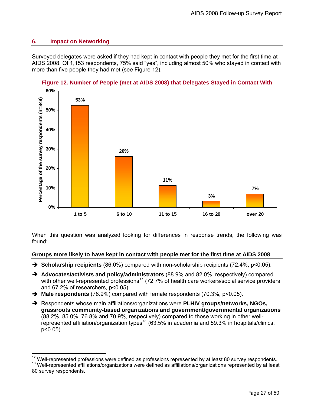# <span id="page-26-0"></span>**6. Impact on Networking**

 $\overline{a}$ 

Surveyed delegates were asked if they had kept in contact with people they met for the first time at AIDS 2008. Of 1,153 respondents, 75% said "yes", including almost 50% who stayed in contact with more than five people they had met (see Figure 12).



# **Figure 12. Number of People (met at AIDS 2008) that Delegates Stayed in Contact With**

When this question was analyzed looking for differences in response trends, the following was found:

# **Groups more likely to have kept in contact with people met for the first time at AIDS 2008**

- **→ Scholarship recipients** (86.0%) compared with non-scholarship recipients (72.4%, p<0.05).
- $\rightarrow$  Advocates/activists and policy/administrators (88.9% and 82.0%, respectively) compared with other well-represented professions<sup>[17](#page-26-1)</sup> (72.7% of health care workers/social service providers and 67.2% of researchers, p<0.05).
- **→ Male respondents** (78.9%) compared with female respondents (70.3%, p<0.05).
- → Respondents whose main affiliations/organizations were PLHIV groups/networks, NGOs, **grassroots community-based organizations and government/governmental organizations** (88.2%, 85.0%, 76.8% and 70.9%, respectively) compared to those working in other well-represented affiliation/organization types<sup>[18](#page-26-2)</sup> (63.5% in academia and 59.3% in hospitals/clinics, p<0.05).

<span id="page-26-2"></span><span id="page-26-1"></span><sup>&</sup>lt;sup>17</sup> Well-represented professions were defined as professions represented by at least 80 survey respondents.<br><sup>18</sup> Well-represented affiliations/organizations were defined as affiliations/organizations represented by at le 80 survey respondents.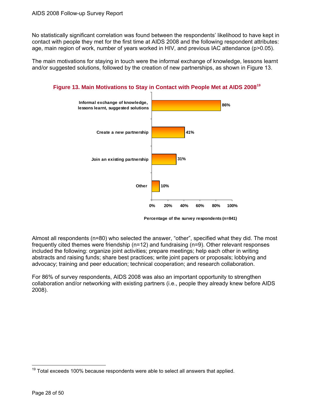<span id="page-27-0"></span>No statistically significant correlation was found between the respondents' likelihood to have kept in contact with people they met for the first time at AIDS 2008 and the following respondent attributes: age, main region of work, number of years worked in HIV, and previous IAC attendance (p>0.05).

The main motivations for staying in touch were the informal exchange of knowledge, lessons learnt and/or suggested solutions, followed by the creation of new partnerships, as shown in Figure 13.



**Figure 13. Main Motivations to Stay in Contact with People Met at AIDS 2008[19](#page-27-1)**

**Percentage of the survey respondents (n=841)**

Almost all respondents (n=80) who selected the answer, "other", specified what they did. The most frequently cited themes were friendship (n=12) and fundraising (n=9). Other relevant responses included the following: organize joint activities; prepare meetings; help each other in writing abstracts and raising funds; share best practices; write joint papers or proposals; lobbying and advocacy; training and peer education; technical cooperation; and research collaboration.

For 86% of survey respondents, AIDS 2008 was also an important opportunity to strengthen collaboration and/or networking with existing partners (i.e., people they already knew before AIDS 2008).

 $\overline{a}$ 

<span id="page-27-1"></span> $19$  Total exceeds 100% because respondents were able to select all answers that applied.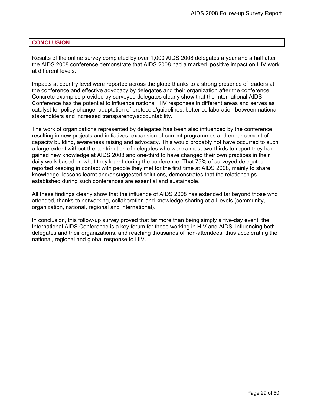#### <span id="page-28-0"></span>**CONCLUSION**

Results of the online survey completed by over 1,000 AIDS 2008 delegates a year and a half after the AIDS 2008 conference demonstrate that AIDS 2008 had a marked, positive impact on HIV work at different levels.

Impacts at country level were reported across the globe thanks to a strong presence of leaders at the conference and effective advocacy by delegates and their organization after the conference. Concrete examples provided by surveyed delegates clearly show that the International AIDS Conference has the potential to influence national HIV responses in different areas and serves as catalyst for policy change, adaptation of protocols/guidelines, better collaboration between national stakeholders and increased transparency/accountability.

The work of organizations represented by delegates has been also influenced by the conference, resulting in new projects and initiatives, expansion of current programmes and enhancement of capacity building, awareness raising and advocacy. This would probably not have occurred to such a large extent without the contribution of delegates who were almost two-thirds to report they had gained new knowledge at AIDS 2008 and one-third to have changed their own practices in their daily work based on what they learnt during the conference. That 75% of surveyed delegates reported keeping in contact with people they met for the first time at AIDS 2008, mainly to share knowledge, lessons learnt and/or suggested solutions, demonstrates that the relationships established during such conferences are essential and sustainable.

All these findings clearly show that the influence of AIDS 2008 has extended far beyond those who attended, thanks to networking, collaboration and knowledge sharing at all levels (community, organization, national, regional and international).

In conclusion, this follow-up survey proved that far more than being simply a five-day event, the International AIDS Conference is a key forum for those working in HIV and AIDS, influencing both delegates and their organizations, and reaching thousands of non-attendees, thus accelerating the national, regional and global response to HIV.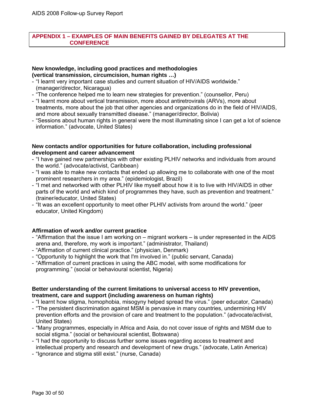#### <span id="page-29-0"></span>**APPENDIX 1 – EXAMPLES OF MAIN BENEFITS GAINED BY DELEGATES AT THE CONFERENCE**

#### **New knowledge, including good practices and methodologies (vertical transmission, circumcision, human rights …)**

- "I learnt very important case studies and current situation of HIV/AIDS worldwide." (manager/director, Nicaragua)
- "The conference helped me to learn new strategies for prevention." (counsellor, Peru)
- "I learnt more about vertical transmission, more about antiretrovirals (ARVs), more about treatments, more about the job that other agencies and organizations do in the field of HIV/AIDS, and more about sexually transmitted disease." (manager/director, Bolivia)
- "Sessions about human rights in general were the most illuminating since I can get a lot of science information." (advocate, United States)

#### **New contacts and/or opportunities for future collaboration, including professional development and career advancement**

- "I have gained new partnerships with other existing PLHIV networks and individuals from around the world." (advocate/activist, Caribbean)
- "I was able to make new contacts that ended up allowing me to collaborate with one of the most prominent researchers in my area." (epidemiologist, Brazil)
- "I met and networked with other PLHIV like myself about how it is to live with HIV/AIDS in other parts of the world and which kind of programmes they have, such as prevention and treatment." (trainer/educator, United States)
- "It was an excellent opportunity to meet other PLHIV activists from around the world." (peer educator, United Kingdom)

# **Affirmation of work and/or current practice**

- "Affirmation that the issue I am working on migrant workers is under represented in the AIDS arena and, therefore, my work is important." (administrator, Thailand)
- "Affirmation of current clinical practice." (physician, Denmark)
- "Opportunity to highlight the work that I'm involved in." (public servant, Canada)
- "Affirmation of current practices in using the ABC model, with some modifications for programming." (social or behavioural scientist, Nigeria)

# **Better understanding of the current limitations to universal access to HIV prevention, treatment, care and support (including awareness on human rights)**

- "I learnt how stigma, homophobia, misogyny helped spread the virus." (peer educator, Canada)
- "The persistent discrimination against MSM is pervasive in many countries, undermining HIV prevention efforts and the provision of care and treatment to the population." (advocate/activist, United States)
- "Many programmes, especially in Africa and Asia, do not cover issue of rights and MSM due to social stigma." (social or behavioural scientist, Botswana)
- "I had the opportunity to discuss further some issues regarding access to treatment and intellectual property and research and development of new drugs." (advocate, Latin America)
- "Ignorance and stigma still exist." (nurse, Canada)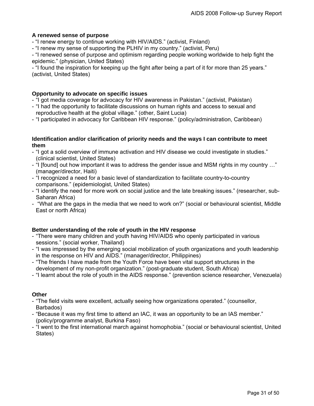#### **A renewed sense of purpose**

- "I renew energy to continue working with HIV/AIDS." (activist, Finland)

- "I renew my sense of supporting the PLHIV in my country." (activist, Peru)

- "I renewed sense of purpose and optimism regarding people working worldwide to help fight the epidemic." (physician, United States)

- "I found the inspiration for keeping up the fight after being a part of it for more than 25 years." (activist, United States)

#### **Opportunity to advocate on specific issues**

- "I got media coverage for advocacy for HIV awareness in Pakistan." (activist, Pakistan)

- "I had the opportunity to facilitate discussions on human rights and access to sexual and reproductive health at the global village." (other, Saint Lucia)
- "I participated in advocacy for Caribbean HIV response." (policy/administration, Caribbean)

#### **Identification and/or clarification of priority needs and the ways I can contribute to meet them**

- "I got a solid overview of immune activation and HIV disease we could investigate in studies." (clinical scientist, United States)
- "I [found] out how important it was to address the gender issue and MSM rights in my country …" (manager/director, Haiti)
- "I recognized a need for a basic level of standardization to facilitate country-to-country comparisons." (epidemiologist, United States)
- "I identify the need for more work on social justice and the late breaking issues." (researcher, sub-Saharan Africa)
- "What are the gaps in the media that we need to work on?" (social or behavioural scientist, Middle East or north Africa)

# **Better understanding of the role of youth in the HIV response**

- "There were many children and youth having HIV/AIDS who openly participated in various sessions." (social worker, Thailand)
- "I was impressed by the emerging social mobilization of youth organizations and youth leadership in the response on HIV and AIDS." (manager/director, Philippines)
- "The friends I have made from the Youth Force have been vital support structures in the development of my non-profit organization." (post-graduate student, South Africa)
- "I learnt about the role of youth in the AIDS response." (prevention science researcher, Venezuela)

# **Other**

- "The field visits were excellent, actually seeing how organizations operated." (counsellor, Barbados)
- "Because it was my first time to attend an IAC, it was an opportunity to be an IAS member." (policy/programme analyst, Burkina Faso)
- "I went to the first international march against homophobia." (social or behavioural scientist, United States)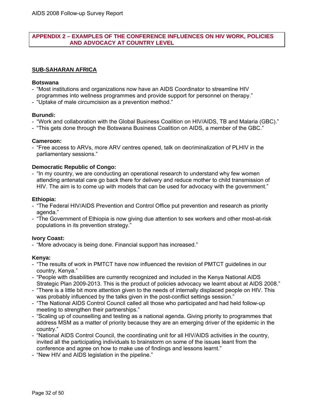#### <span id="page-31-0"></span>**APPENDIX 2 – EXAMPLES OF THE CONFERENCE INFLUENCES ON HIV WORK, POLICIES AND ADVOCACY AT COUNTRY LEVEL**

# **SUB-SAHARAN AFRICA**

#### **Botswana**

- "Most institutions and organizations now have an AIDS Coordinator to streamline HIV programmes into wellness programmes and provide support for personnel on therapy."
- "Uptake of male circumcision as a prevention method."

#### **Burundi:**

- "Work and collaboration with the Global Business Coalition on HIV/AIDS, TB and Malaria (GBC)."
- "This gets done through the Botswana Business Coalition on AIDS, a member of the GBC."

#### **Cameroon:**

- "Free access to ARVs, more ARV centres opened, talk on decriminalization of PLHIV in the parliamentary sessions."

#### **Democratic Republic of Congo:**

- "In my country, we are conducting an operational research to understand why few women attending antenatal care go back there for delivery and reduce mother to child transmission of HIV. The aim is to come up with models that can be used for advocacy with the government."

#### **Ethiopia:**

- "The Federal HIV/AIDS Prevention and Control Office put prevention and research as priority agenda."
- "The Government of Ethiopia is now giving due attention to sex workers and other most-at-risk populations in its prevention strategy."

# **Ivory Coast:**

- "More advocacy is being done. Financial support has increased."

#### **Kenya:**

- "The results of work in PMTCT have now influenced the revision of PMTCT guidelines in our country, Kenya."
- "People with disabilities are currently recognized and included in the Kenya National AIDS Strategic Plan 2009-2013. This is the product of policies advocacy we learnt about at AIDS 2008."
- "There is a little bit more attention given to the needs of internally displaced people on HIV. This was probably influenced by the talks given in the post-conflict settings session."
- "The National AIDS Control Council called all those who participated and had held follow-up meeting to strengthen their partnerships."
- "Scaling up of counselling and testing as a national agenda. Giving priority to programmes that address MSM as a matter of priority because they are an emerging driver of the epidemic in the country."
- "National AIDS Control Council, the coordinating unit for all HIV/AIDS activities in the country, invited all the participating individuals to brainstorm on some of the issues leant from the conference and agree on how to make use of findings and lessons learnt."
- "New HIV and AIDS legislation in the pipeline."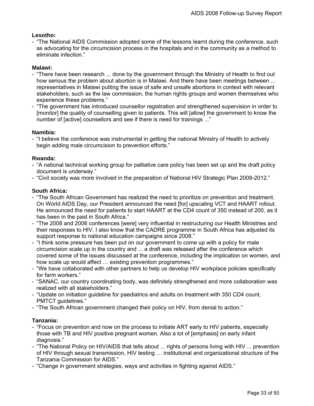# **Lesotho:**

- "The National AIDS Commission adopted some of the lessons learnt during the conference, such as advocating for the circumcision process in the hospitals and in the community as a method to eliminate infection."

# **Malawi:**

- "There have been research ... done by the government through the Ministry of Health to find out how serious the problem about abortion is in Malawi. And there have been meetings between ... representatives in Malawi putting the issue of safe and unsafe abortions in context with relevant stakeholders, such as the law commission, the human rights groups and women themselves who experience these problems."
- "The government has introduced counsellor registration and strengthened supervision in order to [monitor] the quality of counselling given to patients. This will [allow] the government to know the number of [active] counsellors and see if there is need for trainings ..."

# **Namibia:**

- "I believe the conference was instrumental in getting the national Ministry of Health to actively begin adding male circumcision to prevention efforts."

# **Rwanda:**

- "A national technical working group for palliative care policy has been set up and the draft policy document is underway."
- "Civil society was more involved in the preparation of National HIV Strategic Plan 2009-2012."

# **South Africa:**

- "The South African Government has realized the need to prioritize on prevention and treatment. On World AIDS Day, our President announced the need [for] upscaling VCT and HAART rollout. He announced the need for patients to start HAART at the CD4 count of 350 instead of 200, as it has been in the past in South Africa."
- "The 2008 and 2006 conferences [were] very influential in restructuring our Health Ministries and their responses to HIV. I also know that the CADRE programme in South Africa has adjusted its support response to national education campaigns since 2008."
- "I think some pressure has been put on our government to come up with a policy for male circumcision scale up in the country and ... a draft was released after the conference which covered some of the issues discussed at the conference, including the implication on women, and how scale up would affect … existing prevention programmes."
- "We have collaborated with other partners to help us develop HIV workplace policies specifically for farm workers."
- "SANAC, our country coordinating body, was definitely strengthened and more collaboration was realized with all stakeholders."
- "Update on initiation guideline for paediatrics and adults on treatment with 350 CD4 count, PMTCT guidelines."
- "The South African government changed their policy on HIV, from denial to action."

# **Tanzania:**

- "Focus on prevention and now on the process to initiate ART early to HIV patients, especially those with TB and HIV positive pregnant women. Also a lot of [emphasis] on early infant diagnosis."
- "The National Policy on HIV/AIDS that tells about ... rights of persons living with HIV ... prevention of HIV through sexual transmission, HIV testing … institutional and organizational structure of the Tanzania Commission for AIDS."
- "Change in government strategies, ways and activities in fighting against AIDS."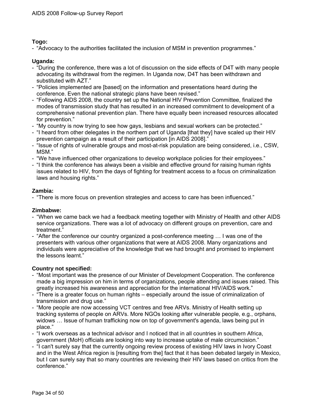# **Togo:**

- "Advocacy to the authorities facilitated the inclusion of MSM in prevention programmes."

# **Uganda:**

- "During the conference, there was a lot of discussion on the side effects of D4T with many people advocating its withdrawal from the regimen. In Uganda now, D4T has been withdrawn and substituted with AZT."
- "Policies implemented are [based] on the information and presentations heard during the conference. Even the national strategic plans have been revised."
- "Following AIDS 2008, the country set up the National HIV Prevention Committee, finalized the modes of transmission study that has resulted in an increased commitment to development of a comprehensive national prevention plan. There have equally been increased resources allocated for prevention."
- "My country is now trying to see how gays, lesbians and sexual workers can be protected."
- "I heard from other delegates in the northern part of Uganda [that they] have scaled up their HIV prevention campaign as a result of their participation [in AIDS 2008]."
- "Issue of rights of vulnerable groups and most-at-risk population are being considered, i.e., CSW, MSM."
- "We have influenced other organizations to develop workplace policies for their employees."
- "I think the conference has always been a visible and effective ground for raising human rights issues related to HIV, from the days of fighting for treatment access to a focus on criminalization laws and housing rights."

# **Zambia:**

- "There is more focus on prevention strategies and access to care has been influenced."

# **Zimbabwe:**

- "When we came back we had a feedback meeting together with Ministry of Health and other AIDS service organizations. There was a lot of advocacy on different groups on prevention, care and treatment."
- "After the conference our country organized a post-conference meeting … I was one of the presenters with various other organizations that were at AIDS 2008. Many organizations and individuals were appreciative of the knowledge that we had brought and promised to implement the lessons learnt."

# **Country not specified:**

- "Most important was the presence of our Minister of Development Cooperation. The conference made a big impression on him in terms of organizations, people attending and issues raised. This greatly increased his awareness and appreciation for the international HIV/AIDS work."
- "There is a greater focus on human rights especially around the issue of criminalization of transmission and drug use."
- "More people are now accessing VCT centres and free ARVs. Ministry of Health setting up tracking systems of people on ARVs. More NGOs looking after vulnerable people, e.g., orphans, widows … Issue of human trafficking now on top of government's agenda, laws being put in place."
- "I work overseas as a technical advisor and I noticed that in all countries in southern Africa, government (MoH) officials are looking into way to increase uptake of male circumcision."
- "I can't surely say that the currently ongoing review process of existing HIV laws in Ivory Coast and in the West Africa region is [resulting from the] fact that it has been debated largely in Mexico, but I can surely say that so many countries are reviewing their HIV laws based on critics from the conference."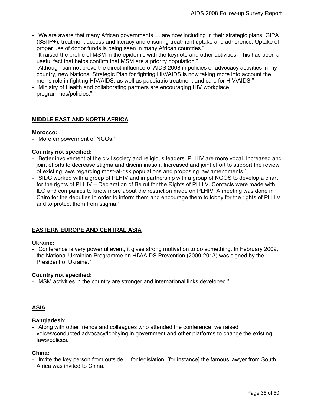- "We are aware that many African governments … are now including in their strategic plans: GIPA (SSIIP+), treatment access and literacy and ensuring treatment uptake and adherence. Uptake of proper use of donor funds is being seen in many African countries."
- "It raised the profile of MSM in the epidemic with the keynote and other activities. This has been a useful fact that helps confirm that MSM are a priority population."
- "Although can not prove the direct influence of AIDS 2008 in policies or advocacy activities in my country, new National Strategic Plan for fighting HIV/AIDS is now taking more into account the men's role in fighting HIV/AIDS, as well as paediatric treatment and care for HIV/AIDS."
- "Ministry of Health and collaborating partners are encouraging HIV workplace programmes/policies."

# **MIDDLE EAST AND NORTH AFRICA**

#### **Morocco:**

- "More empowerment of NGOs."

#### **Country not specified:**

- "Better involvement of the civil society and religious leaders. PLHIV are more vocal. Increased and joint efforts to decrease stigma and discrimination. Increased and joint effort to support the review of existing laws regarding most-at-risk populations and proposing law amendments."
- "SIDC worked with a group of PLHIV and in partnership with a group of NGOS to develop a chart for the rights of PLHIV – Declaration of Beirut for the Rights of PLHIV. Contacts were made with ILO and companies to know more about the restriction made on PLHIV. A meeting was done in Cairo for the deputies in order to inform them and encourage them to lobby for the rights of PLHIV and to protect them from stigma."

# **EASTERN EUROPE AND CENTRAL ASIA**

#### **Ukraine:**

- "Conference is very powerful event, it gives strong motivation to do something. In February 2009, the National Ukrainian Programme on HIV/AIDS Prevention (2009-2013) was signed by the President of Ukraine."

#### **Country not specified:**

- "MSM activities in the country are stronger and international links developed."

# **ASIA**

#### **Bangladesh:**

- "Along with other friends and colleagues who attended the conference, we raised voices/conducted advocacy/lobbying in government and other platforms to change the existing laws/polices."

# **China:**

- "Invite the key person from outside ... for legislation, [for instance] the famous lawyer from South Africa was invited to China."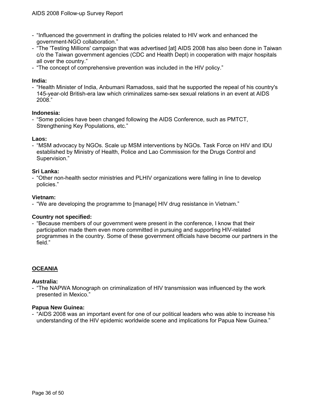- "Influenced the government in drafting the policies related to HIV work and enhanced the government-NGO collaboration."
- "The 'Testing Millions' campaign that was advertised [at] AIDS 2008 has also been done in Taiwan c/o the Taiwan government agencies (CDC and Health Dept) in cooperation with major hospitals all over the country."
- "The concept of comprehensive prevention was included in the HIV policy."

#### **India:**

- "Health Minister of India, Anbumani Ramadoss, said that he supported the repeal of his country's 145-year-old British-era law which criminalizes same-sex sexual relations in an event at AIDS 2008."

#### **Indonesia:**

- "Some policies have been changed following the AIDS Conference, such as PMTCT, Strengthening Key Populations, etc."

#### **Laos:**

- "MSM advocacy by NGOs. Scale up MSM interventions by NGOs. Task Force on HIV and IDU established by Ministry of Health, Police and Lao Commission for the Drugs Control and Supervision."

#### **Sri Lanka:**

- "Other non-health sector ministries and PLHIV organizations were falling in line to develop policies."

#### **Vietnam:**

- "We are developing the programme to [manage] HIV drug resistance in Vietnam."

# **Country not specified:**

- "Because members of our government were present in the conference, I know that their participation made them even more committed in pursuing and supporting HIV-related programmes in the country. Some of these government officials have become our partners in the field."

# **OCEANIA**

#### **Australia:**

- "The NAPWA Monograph on criminalization of HIV transmission was influenced by the work presented in Mexico."

#### **Papua New Guinea:**

- "AIDS 2008 was an important event for one of our political leaders who was able to increase his understanding of the HIV epidemic worldwide scene and implications for Papua New Guinea."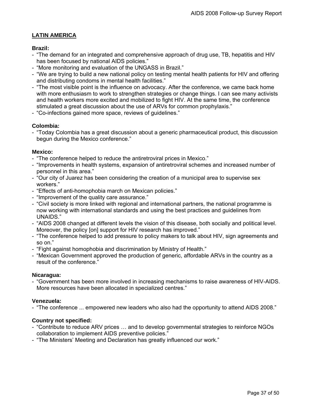# **LATIN AMERICA**

# **Brazil:**

- "The demand for an integrated and comprehensive approach of drug use, TB, hepatitis and HIV has been focused by national AIDS policies."
- "More monitoring and evaluation of the UNGASS in Brazil."
- "We are trying to build a new national policy on testing mental health patients for HIV and offering and distributing condoms in mental health facilities."
- "The most visible point is the influence on advocacy. After the conference, we came back home with more enthusiasm to work to strengthen strategies or change things. I can see many activists and health workers more excited and mobilized to fight HIV. At the same time, the conference stimulated a great discussion about the use of ARVs for common prophylaxis."
- "Co-infections gained more space, reviews of guidelines."

# **Colombia:**

- "Today Colombia has a great discussion about a generic pharmaceutical product, this discussion begun during the Mexico conference."

# **Mexico:**

- "The conference helped to reduce the antiretroviral prices in Mexico."
- "Improvements in health systems, expansion of antiretroviral schemes and increased number of personnel in this area."
- "Our city of Juarez has been considering the creation of a municipal area to supervise sex workers."
- "Effects of anti-homophobia march on Mexican policies."
- "Improvement of the quality care assurance."
- "Civil society is more linked with regional and international partners, the national programme is now working with international standards and using the best practices and guidelines from UNAIDS."
- "AIDS 2008 changed at different levels the vision of this disease, both socially and political level. Moreover, the policy [on] support for HIV research has improved."
- "The conference helped to add pressure to policy makers to talk about HIV, sign agreements and so on."
- "Fight against homophobia and discrimination by Ministry of Health."
- "Mexican Government approved the production of generic, affordable ARVs in the country as a result of the conference."

# **Nicaragua:**

- "Government has been more involved in increasing mechanisms to raise awareness of HIV-AIDS. More resources have been allocated in specialized centres."

# **Venezuela:**

- "The conference ... empowered new leaders who also had the opportunity to attend AIDS 2008."

# **Country not specified:**

- "Contribute to reduce ARV prices … and to develop governmental strategies to reinforce NGOs collaboration to implement AIDS preventive policies."
- "The Ministers' Meeting and Declaration has greatly influenced our work."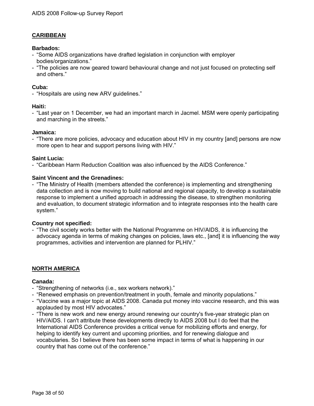# **CARIBBEAN**

#### **Barbados:**

- "Some AIDS organizations have drafted legislation in conjunction with employer bodies/organizations."
- "The policies are now geared toward behavioural change and not just focused on protecting self and others."

#### **Cuba:**

- "Hospitals are using new ARV guidelines."

#### **Haiti:**

- "Last year on 1 December, we had an important march in Jacmel. MSM were openly participating and marching in the streets."

#### **Jamaica:**

- "There are more policies, advocacy and education about HIV in my country [and] persons are now more open to hear and support persons living with HIV."

#### **Saint Lucia:**

- "Caribbean Harm Reduction Coalition was also influenced by the AIDS Conference."

#### **Saint Vincent and the Grenadines:**

- "The Ministry of Health (members attended the conference) is implementing and strengthening data collection and is now moving to build national and regional capacity, to develop a sustainable response to implement a unified approach in addressing the disease, to strengthen monitoring and evaluation, to document strategic information and to integrate responses into the health care system."

#### **Country not specified:**

- "The civil society works better with the National Programme on HIV/AIDS, it is influencing the advocacy agenda in terms of making changes on policies, laws etc., [and] it is influencing the way programmes, activities and intervention are planned for PLHIV."

# **NORTH AMERICA**

#### **Canada:**

- "Strengthening of networks (i.e., sex workers network)."
- "Renewed emphasis on prevention/treatment in youth, female and minority populations."
- "Vaccine was a major topic at AIDS 2008. Canada put money into vaccine research, and this was applauded by most HIV advocates."
- "There is new work and new energy around renewing our country's five-year strategic plan on HIV/AIDS. I can't attribute these developments directly to AIDS 2008 but I do feel that the International AIDS Conference provides a critical venue for mobilizing efforts and energy, for helping to identify key current and upcoming priorities, and for renewing dialogue and vocabularies. So I believe there has been some impact in terms of what is happening in our country that has come out of the conference."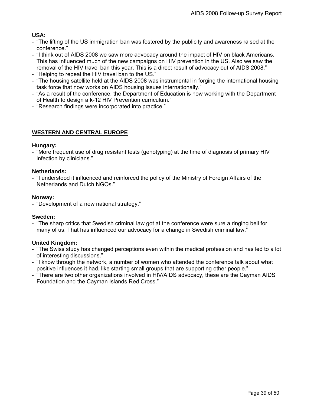# **USA:**

- "The lifting of the US immigration ban was fostered by the publicity and awareness raised at the conference."
- "I think out of AIDS 2008 we saw more advocacy around the impact of HIV on black Americans. This has influenced much of the new campaigns on HIV prevention in the US. Also we saw the removal of the HIV travel ban this year. This is a direct result of advocacy out of AIDS 2008."
- "Helping to repeal the HIV travel ban to the US."
- "The housing satellite held at the AIDS 2008 was instrumental in forging the international housing task force that now works on AIDS housing issues internationally."
- "As a result of the conference, the Department of Education is now working with the Department of Health to design a k-12 HIV Prevention curriculum."
- "Research findings were incorporated into practice."

# **WESTERN AND CENTRAL EUROPE**

#### **Hungary:**

- "More frequent use of drug resistant tests (genotyping) at the time of diagnosis of primary HIV infection by clinicians."

#### **Netherlands:**

- "I understood it influenced and reinforced the policy of the Ministry of Foreign Affairs of the Netherlands and Dutch NGOs."

#### **Norway:**

- "Development of a new national strategy."

# **Sweden:**

- "The sharp critics that Swedish criminal law got at the conference were sure a ringing bell for many of us. That has influenced our advocacy for a change in Swedish criminal law."

# **United Kingdom:**

- "The Swiss study has changed perceptions even within the medical profession and has led to a lot of interesting discussions."
- "I know through the network, a number of women who attended the conference talk about what positive influences it had, like starting small groups that are supporting other people."
- "There are two other organizations involved in HIV/AIDS advocacy, these are the Cayman AIDS Foundation and the Cayman Islands Red Cross."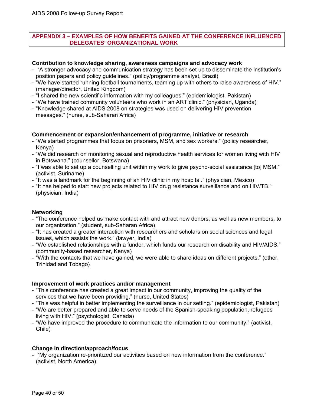#### <span id="page-39-0"></span>**APPENDIX 3 – EXAMPLES OF HOW BENEFITS GAINED AT THE CONFERENCE INFLUENCED DELEGATES' ORGANIZATIONAL WORK**

#### **Contribution to knowledge sharing, awareness campaigns and advocacy work**

- "A stronger advocacy and communication strategy has been set up to disseminate the institution's position papers and policy guidelines." (policy/programme analyst, Brazil)
- "We have started running football tournaments, teaming up with others to raise awareness of HIV." (manager/director, United Kingdom)
- "I shared the new scientific information with my colleagues." (epidemiologist, Pakistan)
- "We have trained community volunteers who work in an ART clinic." (physician, Uganda)
- "Knowledge shared at AIDS 2008 on strategies was used on delivering HIV prevention messages." (nurse, sub-Saharan Africa)

#### **Commencement or expansion/enhancement of programme, initiative or research**

- "We started programmes that focus on prisoners, MSM, and sex workers." (policy researcher, Kenya)
- "We did research on monitoring sexual and reproductive health services for women living with HIV in Botswana." (counsellor, Botswana)
- "I was able to set up a counselling unit within my work to give psycho-social assistance [to] MSM." (activist, Suriname)
- "It was a landmark for the beginning of an HIV clinic in my hospital." (physician, Mexico)
- "It has helped to start new projects related to HIV drug resistance surveillance and on HIV/TB." (physician, India)

# **Networking**

- "The conference helped us make contact with and attract new donors, as well as new members, to our organization." (student, sub-Saharan Africa)
- "It has created a greater interaction with researchers and scholars on social sciences and legal issues, which assists the work." (lawyer, India)
- "We established relationships with a funder, which funds our research on disability and HIV/AIDS." (community-based researcher, Kenya)
- "With the contacts that we have gained, we were able to share ideas on different projects." (other, Trinidad and Tobago)

#### **Improvement of work practices and/or management**

- "This conference has created a great impact in our community, improving the quality of the services that we have been providing." (nurse, United States)
- "This was helpful in better implementing the surveillance in our setting." (epidemiologist, Pakistan)
- "We are better prepared and able to serve needs of the Spanish-speaking population, refugees living with HIV." (psychologist, Canada)
- "We have improved the procedure to communicate the information to our community." (activist, Chile)

# **Change in direction/approach/focus**

- "My organization re-prioritized our activities based on new information from the conference." (activist, North America)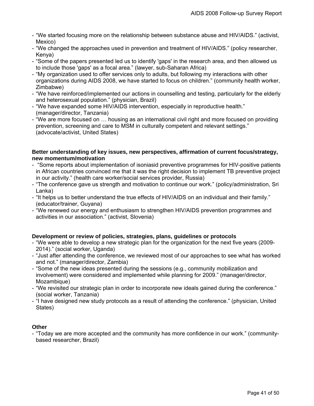- "We started focusing more on the relationship between substance abuse and HIV/AIDS." (activist, Mexico)
- "We changed the approaches used in prevention and treatment of HIV/AIDS." (policy researcher, Kenya)
- "Some of the papers presented led us to identify 'gaps' in the research area, and then allowed us to include those 'gaps' as a focal area." (lawyer, sub-Saharan Africa)
- "My organization used to offer services only to adults, but following my interactions with other organizations during AIDS 2008, we have started to focus on children." (community health worker, Zimbabwe)
- "We have reinforced/implemented our actions in counselling and testing, particularly for the elderly and heterosexual population." (physician, Brazil)
- "We have expanded some HIV/AIDS intervention, especially in reproductive health." (manager/director, Tanzania)
- "We are more focused on … housing as an international civil right and more focused on providing prevention, screening and care to MSM in culturally competent and relevant settings." (advocate/activist, United States)

#### **Better understanding of key issues, new perspectives, affirmation of current focus/strategy, new momentum/motivation**

- "Some reports about implementation of isoniasid preventive programmes for HIV-positive patients in African countries convinced me that it was the right decision to implement TB preventive project in our activity." (health care worker/social services provider, Russia)
- "The conference gave us strength and motivation to continue our work." (policy/administration, Sri Lanka)
- "It helps us to better understand the true effects of HIV/AIDS on an individual and their family." (educator/trainer, Guyana)
- "We renewed our energy and enthusiasm to strengthen HIV/AIDS prevention programmes and activities in our association." (activist, Slovenia)

# **Development or review of policies, strategies, plans, guidelines or protocols**

- "We were able to develop a new strategic plan for the organization for the next five years (2009- 2014)." (social worker, Uganda)
- "Just after attending the conference, we reviewed most of our approaches to see what has worked and not." (manager/director, Zambia)
- "Some of the new ideas presented during the sessions (e.g., community mobilization and involvement) were considered and implemented while planning for 2009." (manager/director, Mozambique)
- "We revisited our strategic plan in order to incorporate new ideals gained during the conference." (social worker, Tanzania)
- "I have designed new study protocols as a result of attending the conference." (physician, United States)

# **Other**

- "Today we are more accepted and the community has more confidence in our work." (communitybased researcher, Brazil)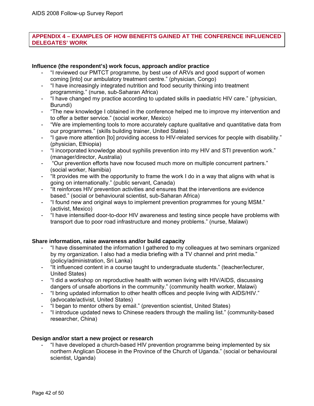# <span id="page-41-0"></span>**APPENDIX 4 – EXAMPLES OF HOW BENEFITS GAINED AT THE CONFERENCE INFLUENCED DELEGATES' WORK**

# **Influence (the respondent's) work focus, approach and/or practice**

- "I reviewed our PMTCT programme, by best use of ARVs and good support of women coming [into] our ambulatory treatment centre." (physician, Congo)
- "I have increasingly integrated nutrition and food security thinking into treatment programming." (nurse, sub-Saharan Africa)
- "I have changed my practice according to updated skills in paediatric HIV care." (physician, Burundi)
- "The new knowledge I obtained in the conference helped me to improve my intervention and to offer a better service." (social worker, Mexico)
- "We are implementing tools to more accurately capture qualitative and quantitative data from our programmes." (skills building trainer, United States)
- "I gave more attention [to] providing access to HIV-related services for people with disability." (physician, Ethiopia)
- "I incorporated knowledge about syphilis prevention into my HIV and STI prevention work." (manager/director, Australia)
- "Our prevention efforts have now focused much more on multiple concurrent partners." (social worker, Namibia)
- "It provides me with the opportunity to frame the work I do in a way that aligns with what is going on internationally." (public servant, Canada)
- "It reinforces HIV prevention activities and ensures that the interventions are evidence based." (social or behavioural scientist, sub-Saharan Africa)
- "I found new and original ways to implement prevention programmes for young MSM." (activist, Mexico)
- "I have intensified door-to-door HIV awareness and testing since people have problems with transport due to poor road infrastructure and money problems." (nurse, Malawi)

# **Share information, raise awareness and/or build capacity**

- "I have disseminated the information I gathered to my colleagues at two seminars organized by my organization. I also had a media briefing with a TV channel and print media." (policy/administration, Sri Lanka)
- "It influenced content in a course taught to undergraduate students." (teacher/lecturer, United States)
- "I did a workshop on reproductive health with women living with HIV/AIDS, discussing dangers of unsafe abortions in the community." (community health worker, Malawi)
- "I bring updated information to other health offices and people living with AIDS/HIV." (advocate/activist, United States)
- "I began to mentor others by email." (prevention scientist, United States)
- "I introduce updated news to Chinese readers through the mailing list." (community-based researcher, China)

# **Design and/or start a new project or research**

- "I have developed a church-based HIV prevention programme being implemented by six northern Anglican Diocese in the Province of the Church of Uganda." (social or behavioural scientist, Uganda)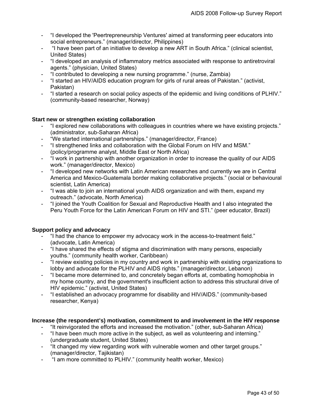- "I developed the 'Peertrepreneurship Ventures' aimed at transforming peer educators into social entrepreneurs." (manager/director, Philippines)
- "I have been part of an initiative to develop a new ART in South Africa." (clinical scientist, United States)
- "I developed an analysis of inflammatory metrics associated with response to antiretroviral agents." (physician, United States)
- "I contributed to developing a new nursing programme." (nurse, Zambia)
- "I started an HIV/AIDS education program for girls of rural areas of Pakistan." (activist, Pakistan)
- "I started a research on social policy aspects of the epidemic and living conditions of PLHIV." (community-based researcher, Norway)

# **Start new or strengthen existing collaboration**

- "I explored new collaborations with colleagues in countries where we have existing projects." (administrator, sub-Saharan Africa)
- "We started international partnerships." (manager/director, France)
- "I strengthened links and collaboration with the Global Forum on HIV and MSM." (policy/programme analyst, Middle East or North Africa)
- "I work in partnership with another organization in order to increase the quality of our AIDS work." (manager/director, Mexico)
- "I developed new networks with Latin American researches and currently we are in Central America and Mexico-Guatemala border making collaborative projects." (social or behavioural scientist, Latin America)
- "I was able to join an international youth AIDS organization and with them, expand my outreach." (advocate, North America)
- "I joined the Youth Coalition for Sexual and Reproductive Health and I also integrated the Peru Youth Force for the Latin American Forum on HIV and STI." (peer educator, Brazil)

#### **Support policy and advocacy**

- "I had the chance to empower my advocacy work in the access-to-treatment field." (advocate, Latin America)
- "I have shared the effects of stigma and discrimination with many persons, especially youths." (community health worker, Caribbean)
- "I review existing policies in my country and work in partnership with existing organizations to lobby and advocate for the PLHIV and AIDS rights." (manager/director, Lebanon)
- "I became more determined to, and concretely began efforts at, combating homophobia in my home country, and the government's insufficient action to address this structural drive of HIV epidemic." (activist, United States)
- "I established an advocacy programme for disability and HIV/AIDS." (community-based researcher, Kenya)

#### **Increase (the respondent's) motivation, commitment to and involvement in the HIV response**

- "It reinvigorated the efforts and increased the motivation." (other, sub-Saharan Africa)
- "I have been much more active in the subject, as well as volunteering and interning." (undergraduate student, United States)
- "It changed my view regarding work with vulnerable women and other target groups." (manager/director, Tajikistan)
- "I am more committed to PLHIV." (community health worker, Mexico)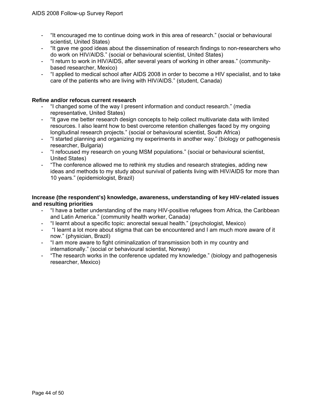- "It encouraged me to continue doing work in this area of research." (social or behavioural scientist, United States)
- "It gave me good ideas about the dissemination of research findings to non-researchers who do work on HIV/AIDS." (social or behavioural scientist, United States)
- "I return to work in HIV/AIDS, after several years of working in other areas." (communitybased researcher, Mexico)
- "I applied to medical school after AIDS 2008 in order to become a HIV specialist, and to take care of the patients who are living with HIV/AIDS." (student, Canada)

#### **Refine and/or refocus current research**

- "I changed some of the way I present information and conduct research." (media representative, United States)
- "It gave me better research design concepts to help collect multivariate data with limited resources. I also learnt how to best overcome retention challenges faced by my ongoing longitudinal research projects." (social or behavioural scientist, South Africa)
- "I started planning and organizing my experiments in another way." (biology or pathogenesis researcher, Bulgaria)
- "I refocused my research on young MSM populations." (social or behavioural scientist, United States)
- "The conference allowed me to rethink my studies and research strategies, adding new ideas and methods to my study about survival of patients living with HIV/AIDS for more than 10 years." (epidemiologist, Brazil)

#### **Increase (the respondent's) knowledge, awareness, understanding of key HIV-related issues and resulting priorities**

- "I have a better understanding of the many HIV-positive refugees from Africa, the Caribbean and Latin America." (community health worker, Canada)
- "I learnt about a specific topic: anorectal sexual health." (psychologist, Mexico)
- "I learnt a lot more about stigma that can be encountered and I am much more aware of it now." (physician, Brazil)
- "I am more aware to fight criminalization of transmission both in my country and internationally." (social or behavioural scientist, Norway)
- "The research works in the conference updated my knowledge." (biology and pathogenesis researcher, Mexico)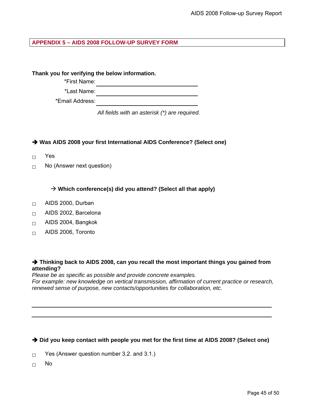# <span id="page-44-0"></span>**APPENDIX 5 – AIDS 2008 FOLLOW-UP SURVEY FORM**

**Thank you for verifying the below information.** 

\*First Name:

\*Last Name:

\*Email Address:

*All fields with an asterisk (\*) are required.*

**→ Was AIDS 2008 your first International AIDS Conference? (Select one)** 

- □ Yes
- $\Box$  No (Answer next question)

 $\rightarrow$  Which conference(s) did you attend? (Select all that apply)

- $\Box$  AIDS 2000, Durban
- $\Box$  AIDS 2002, Barcelona
- □ AIDS 2004, Bangkok
- $\Box$  AIDS 2006, Toronto

#### → Thinking back to AIDS 2008, can you recall the most important things you gained from **attending?**

*Please be as specific as possible and provide concrete examples. For example: new knowledge on vertical transmission, affirmation of current practice or research, renewed sense of purpose, new contacts/opportunities for collaboration, etc.* 

# → Did you keep contact with people you met for the first time at AIDS 2008? (Select one)

 $\Box$  Yes (Answer question number 3.2. and 3.1.)

 $\Box$  No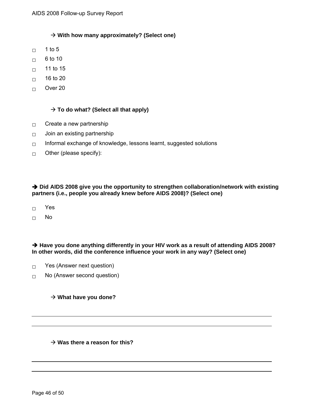# → With how many approximately? (Select one)

- $\Box$  1 to 5
- $\Box$  6 to 10
- $\Box$  11 to 15
- $\Box$  16 to 20
- □ Over 20

#### $\rightarrow$  To do what? (Select all that apply)

- $\Box$  Create a new partnership
- $\Box$  Join an existing partnership
- $\Box$  Informal exchange of knowledge, lessons learnt, suggested solutions
- $\Box$  Other (please specify):

#### → Did AIDS 2008 give you the opportunity to strengthen collaboration/network with existing **partners (i.e., people you already knew before AIDS 2008)? (Select one)**

- □ Yes
- □ No

# → Have you done anything differently in your HIV work as a result of attending AIDS 2008? **In other words, did the conference influence your work in any way? (Select one)**

- $\Box$  Yes (Answer next question)
- $\Box$  No (Answer second question)

#### → What have you done?

#### → Was there a reason for this?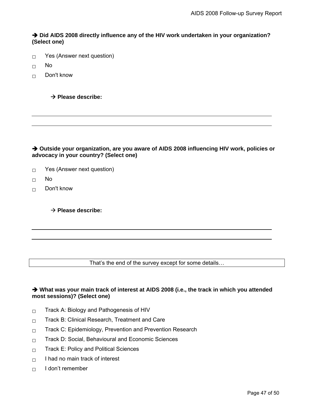→ Did AIDS 2008 directly influence any of the HIV work undertaken in your organization? **(Select one)** 

- $\Box$  Yes (Answer next question)
- $\Box$  No
- $\Box$  Don't know

 $→$  **Please describe:** 

→ Outside your organization, are you aware of AIDS 2008 influencing HIV work, policies or **advocacy in your country? (Select one)** 

- $\Box$  Yes (Answer next question)
- $\Box$  No
- □ Don't know

 $→$  **Please describe:** 

That's the end of the survey except for some details…

# → What was your main track of interest at AIDS 2008 (i.e., the track in which you attended **most sessions)? (Select one)**

- $\square$  Track A: Biology and Pathogenesis of HIV
- $\Box$  Track B: Clinical Research, Treatment and Care
- $\Box$  Track C: Epidemiology, Prevention and Prevention Research
- $\neg$  Track D: Social, Behavioural and Economic Sciences
- $\Box$  Track E: Policy and Political Sciences
- $\Box$  I had no main track of interest
- $\Box$  I don't remember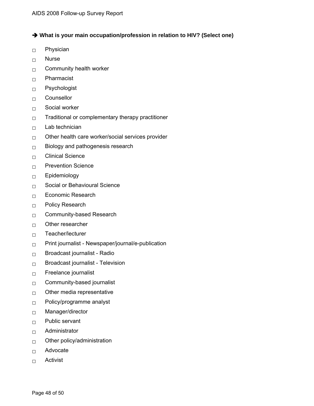→ What is your main occupation/profession in relation to HIV? (Select one)

- □ Physician
- □ Nurse
- $\Box$  Community health worker
- □ Pharmacist
- □ Psychologist
- □ Counsellor
- $\Box$  Social worker
- $\Box$  Traditional or complementary therapy practitioner
- $\Box$  Lab technician
- $\Box$  Other health care worker/social services provider
- $\Box$  Biology and pathogenesis research
- $\Box$  Clinical Science
- $\neg$  Prevention Science
- □ Epidemiology
- $\Box$  Social or Behavioural Science
- □ Economic Research
- □ Policy Research
- $\Box$  Community-based Research
- $\Box$  Other researcher
- □ Teacher/lecturer
- $\nabla$  Print journalist Newspaper/journal/e-publication
- □ Broadcast journalist Radio
- $\Box$  Broadcast journalist Television
- $\square$  Freelance journalist
- $\Box$  Community-based journalist
- $\Box$  Other media representative
- □ Policy/programme analyst
- □ Manager/director
- □ Public servant
- □ Administrator
- $\Box$  Other policy/administration
- □ Advocate
- □ Activist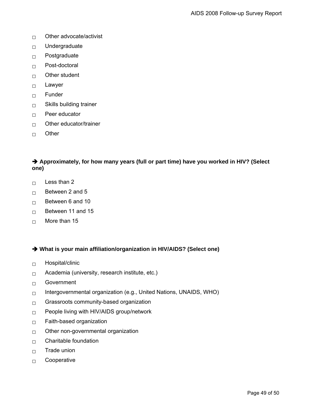- $\Box$  Other advocate/activist
- □ Undergraduate
- $\Box$  Postgraduate
- $\Box$  Post-doctoral
- $\Box$  Other student
- $\Box$  Lawyer
- □ Funder
- $\Box$  Skills building trainer
- $\Box$  Peer educator
- $\Box$  Other educator/trainer
- □ Other

# **→** Approximately, for how many years (full or part time) have you worked in HIV? (Select **one)**

- $\Box$  Less than 2
- $\Box$  Between 2 and 5
- $\Box$  Between 6 and 10
- $\Box$  Between 11 and 15
- $\Box$  More than 15

→ What is your main affiliation/organization in HIV/AIDS? (Select one)

- □ Hospital/clinic
- $\Box$  Academia (university, research institute, etc.)
- $\Box$  Government
- $\Box$  Intergovernmental organization (e.g., United Nations, UNAIDS, WHO)
- $\Box$  Grassroots community-based organization
- □ People living with HIV/AIDS group/network
- $\Box$  Faith-based organization
- $\Box$  Other non-governmental organization
- $\Box$  Charitable foundation
- $\Box$  Trade union
- □ Cooperative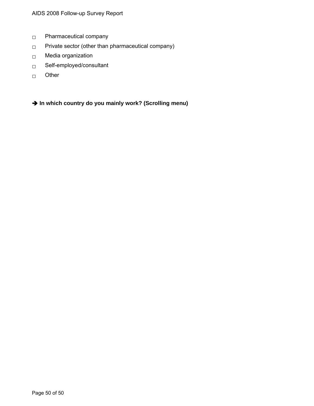- □ Pharmaceutical company
- $\nabla$  Private sector (other than pharmaceutical company)
- □ Media organization
- □ Self-employed/consultant
- □ Other

Î **In which country do you mainly work? (Scrolling menu)**